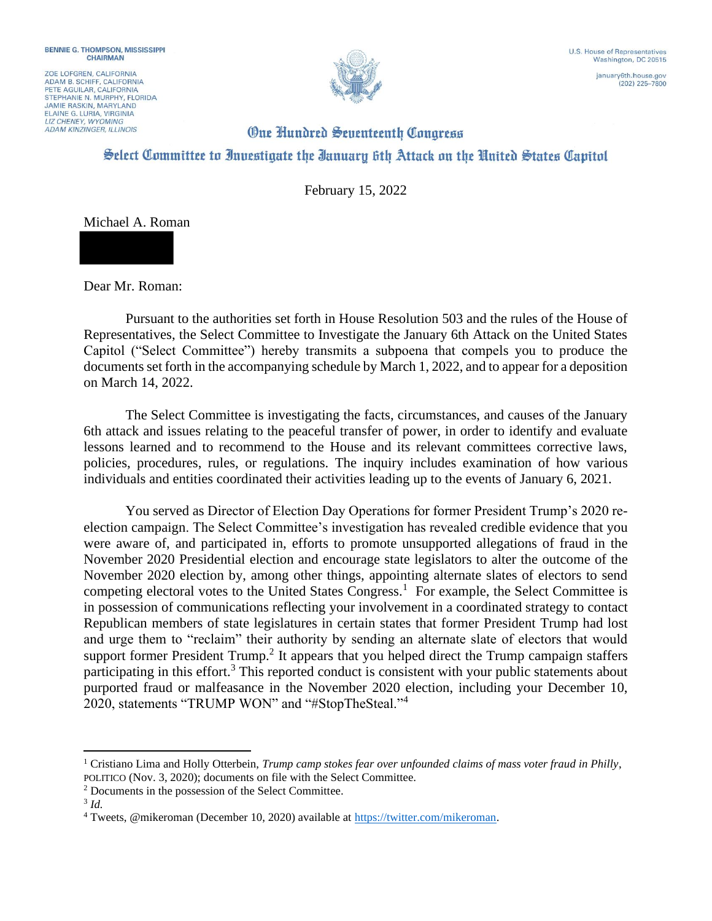ZOE LOFGREN, CALIFORNIA ADAM B. SCHIFF, CALIFORNIA<br>PETE AGUILAR, CALIFORNIA STEPHANIE N. MURPHY, FLORIDA **JAMIE RASKIN, MARYLAND** ELAINE G. LURIA, VIRGINIA **ADAM KINZINGER, ILLINOIS** 



 $(202)$  225-7800

## **One Hundred Seventeenth Congress** Select Committee to Investigate the Ianuary 6th Attack on the United States Capitol

February 15, 2022



Dear Mr. Roman:

Pursuant to the authorities set forth in House Resolution 503 and the rules of the House of Representatives, the Select Committee to Investigate the January 6th Attack on the United States Capitol ("Select Committee") hereby transmits a subpoena that compels you to produce the documents set forth in the accompanying schedule by March 1, 2022, and to appear for a deposition on March 14, 2022.

The Select Committee is investigating the facts, circumstances, and causes of the January 6th attack and issues relating to the peaceful transfer of power, in order to identify and evaluate lessons learned and to recommend to the House and its relevant committees corrective laws, policies, procedures, rules, or regulations. The inquiry includes examination of how various individuals and entities coordinated their activities leading up to the events of January 6, 2021.

You served as Director of Election Day Operations for former President Trump's 2020 reelection campaign. The Select Committee's investigation has revealed credible evidence that you were aware of, and participated in, efforts to promote unsupported allegations of fraud in the November 2020 Presidential election and encourage state legislators to alter the outcome of the November 2020 election by, among other things, appointing alternate slates of electors to send competing electoral votes to the United States Congress.<sup>1</sup> For example, the Select Committee is in possession of communications reflecting your involvement in a coordinated strategy to contact Republican members of state legislatures in certain states that former President Trump had lost and urge them to "reclaim" their authority by sending an alternate slate of electors that would support former President Trump.<sup>2</sup> It appears that you helped direct the Trump campaign staffers participating in this effort.<sup>3</sup> This reported conduct is consistent with your public statements about purported fraud or malfeasance in the November 2020 election, including your December 10, 2020, statements "TRUMP WON" and "#StopTheSteal."<sup>4</sup>

<sup>1</sup> Cristiano Lima and Holly Otterbein, *Trump camp stokes fear over unfounded claims of mass voter fraud in Philly*, POLITICO (Nov. 3, 2020); documents on file with the Select Committee.

<sup>2</sup> Documents in the possession of the Select Committee.

<sup>3</sup> *Id.*

<sup>4</sup> Tweets, @mikeroman (December 10, 2020) available at https://twitter.com/mikeroman.